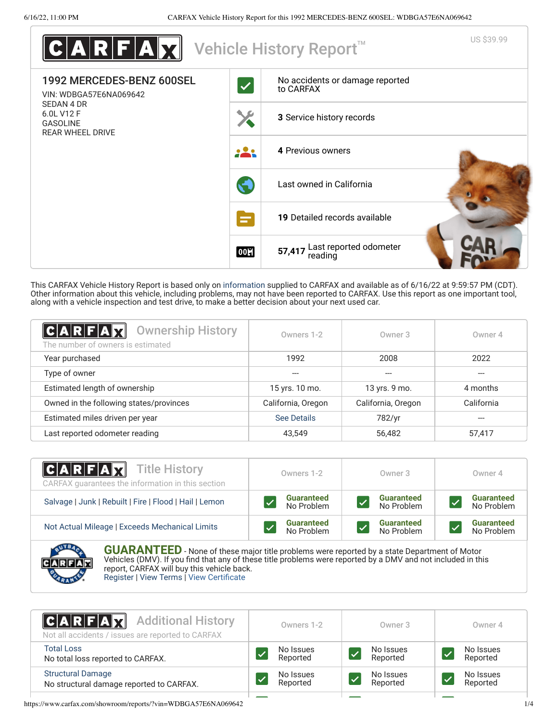| ARFAX                                                                  |              | US \$39.99<br>Vehicle History Report <sup>™</sup> |
|------------------------------------------------------------------------|--------------|---------------------------------------------------|
| 1992 MERCEDES-BENZ 600SEL<br>VIN: WDBGA57E6NA069642                    | $\checkmark$ | No accidents or damage reported<br>to CARFAX      |
| SEDAN 4 DR<br>6.0L V12 F<br><b>GASOLINE</b><br><b>REAR WHEEL DRIVE</b> |              | 3 Service history records                         |
|                                                                        |              | 4 Previous owners                                 |
|                                                                        |              | Last owned in California                          |
|                                                                        | ÷            | 19 Detailed records available                     |
|                                                                        | 00日          | Last reported odometer<br>57,417<br>reading       |

This CARFAX Vehicle History Report is based only on [information](http://www.carfax.com/company/vhr-data-sources) supplied to CARFAX and available as of 6/16/22 at 9:59:57 PM (CDT). Other information about this vehicle, including problems, may not have been reported to CARFAX. Use this report as one important tool, along with a vehicle inspection and test drive, to make a better decision about your next used car.

<span id="page-0-1"></span>

| $C A R F A \overline{X}$<br><b>Ownership History</b><br>The number of owners is estimated | Owners 1-2         | Owner 3            | Owner 4    |
|-------------------------------------------------------------------------------------------|--------------------|--------------------|------------|
| Year purchased                                                                            | 1992               | 2008               | 2022       |
| Type of owner                                                                             |                    | ---                | ---        |
| Estimated length of ownership                                                             | 15 yrs. 10 mo.     | 13 yrs. 9 mo.      | 4 months   |
| Owned in the following states/provinces                                                   | California, Oregon | California, Oregon | California |
| Estimated miles driven per year                                                           | <b>See Details</b> | 782/yr             | ---        |
| Last reported odometer reading                                                            | 43.549             | 56,482             | 57,417     |

| $ C A R F A \chi $<br><b>Title History</b><br>CARFAX quarantees the information in this section | Owners 1-2                      | Owner 3                         | Owner 4                         |
|-------------------------------------------------------------------------------------------------|---------------------------------|---------------------------------|---------------------------------|
| Salvage   Junk   Rebuilt   Fire   Flood   Hail   Lemon                                          | <b>Guaranteed</b><br>No Problem | <b>Guaranteed</b><br>No Problem | <b>Guaranteed</b><br>No Problem |
| Not Actual Mileage   Exceeds Mechanical Limits                                                  | <b>Guaranteed</b><br>No Problem | <b>Guaranteed</b><br>No Problem | <b>Guaranteed</b><br>No Problem |
| <b>ANTIQUES</b>                                                                                 |                                 |                                 |                                 |



**GUARANTEED** - None of these major title problems were reported by a state Department of Motor Vehicles (DMV). If you find that any of these title problems were reported by a DMV and not included in this report, CARFAX will buy this vehicle back. [Register](https://www.carfax.com/Service/bbg) | [View Terms](https://www.carfax.com/company/carfax-buyback-guarantee-terms-and-conditions) | [View Certificate](https://www.carfax.com/showroom/reports/?vin=WDBGA57E6NA069642)

<span id="page-0-0"></span>

| <b>CARFAX</b> Additional History<br>Not all accidents / issues are reported to CARFAX | Owners 1-2 | Owner 3   | Owner 4   |
|---------------------------------------------------------------------------------------|------------|-----------|-----------|
| <b>Total Loss</b>                                                                     | No Issues  | No Issues | No Issues |
| No total loss reported to CARFAX.                                                     | Reported   | Reported  | Reported  |
| <b>Structural Damage</b>                                                              | No Issues  | No Issues | No Issues |
| No structural damage reported to CARFAX.                                              | Reported   | Reported  | Reported  |
|                                                                                       |            |           |           |

https://www.carfax.com/showroom/reports/?vin=WDBGA57E6NA069642 1/4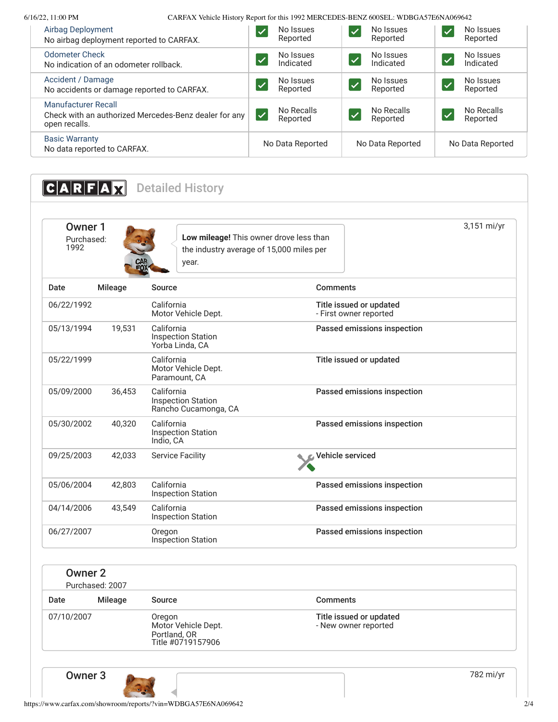6/16/22, 11:00 PM CARFAX Vehicle History Report for this 1992 MERCEDES-BENZ 600SEL: WDBGA57E6NA069642

| Airbag Deployment<br>No airbag deployment reported to CARFAX.                                        | No Issues<br>Reported                              | No Issues<br>Reported                          | No Issues<br>Reported                              |
|------------------------------------------------------------------------------------------------------|----------------------------------------------------|------------------------------------------------|----------------------------------------------------|
| <b>Odometer Check</b><br>No indication of an odometer rollback.                                      | No Issues<br>$\overline{\mathcal{L}}$<br>Indicated | No Issues<br>$\overline{\bm{z}}$<br>Indicated  | No Issues<br>$\overline{\mathcal{L}}$<br>Indicated |
| Accident / Damage<br>No accidents or damage reported to CARFAX.                                      | No Issues<br><b>V</b><br>Reported                  | No Issues<br>$\blacktriangledown$<br>Reported  | No Issues<br>Ø<br>Reported                         |
| <b>Manufacturer Recall</b><br>Check with an authorized Mercedes-Benz dealer for any<br>open recalls. | No Recalls<br>$\overline{\mathsf{v}}$<br>Reported  | No Recalls<br>$\blacktriangledown$<br>Reported | No Recalls<br>$\sqrt{}$<br>Reported                |
| <b>Basic Warranty</b><br>No data reported to CARFAX.                                                 | No Data Reported                                   | No Data Reported                               | No Data Reported                                   |

<span id="page-1-0"></span>**CARFAX** Detailed History

<span id="page-1-1"></span>

| Owner 1<br>Purchased:<br>1992 | CAR<br>FOX:    | Low mileage! This owner drove less than<br>the industry average of 15,000 miles per<br>year. | 3,151 mi/yr                                       |  |
|-------------------------------|----------------|----------------------------------------------------------------------------------------------|---------------------------------------------------|--|
| Date                          | <b>Mileage</b> | Source                                                                                       | Comments                                          |  |
| 06/22/1992                    |                | California<br>Motor Vehicle Dept.                                                            | Title issued or updated<br>- First owner reported |  |
| 05/13/1994                    | 19,531         | California<br><b>Inspection Station</b><br>Yorba Linda, CA                                   | Passed emissions inspection                       |  |
| 05/22/1999                    |                | California<br>Motor Vehicle Dept.<br>Paramount, CA                                           | Title issued or updated                           |  |
| 05/09/2000                    | 36,453         | California<br><b>Inspection Station</b><br>Rancho Cucamonga, CA                              | Passed emissions inspection                       |  |
| 05/30/2002                    | 40,320         | California<br><b>Inspection Station</b><br>Indio, CA                                         | Passed emissions inspection                       |  |
| 09/25/2003                    | 42,033         | <b>Service Facility</b>                                                                      | Vehicle serviced                                  |  |
| 05/06/2004                    | 42,803         | California<br><b>Inspection Station</b>                                                      | Passed emissions inspection                       |  |
| 04/14/2006                    | 43,549         | California<br><b>Inspection Station</b>                                                      | Passed emissions inspection                       |  |
| 06/27/2007                    |                | Oregon<br><b>Inspection Station</b>                                                          | Passed emissions inspection                       |  |

| Owner 2<br>Purchased: 2007 |                |                                                                    |                                                 |
|----------------------------|----------------|--------------------------------------------------------------------|-------------------------------------------------|
| Date                       | <b>Mileage</b> | Source                                                             | <b>Comments</b>                                 |
| 07/10/2007                 |                | Oregon<br>Motor Vehicle Dept.<br>Portland, OR<br>Title #0719157906 | Title issued or updated<br>- New owner reported |

**Owner 3** 282 mi/yr

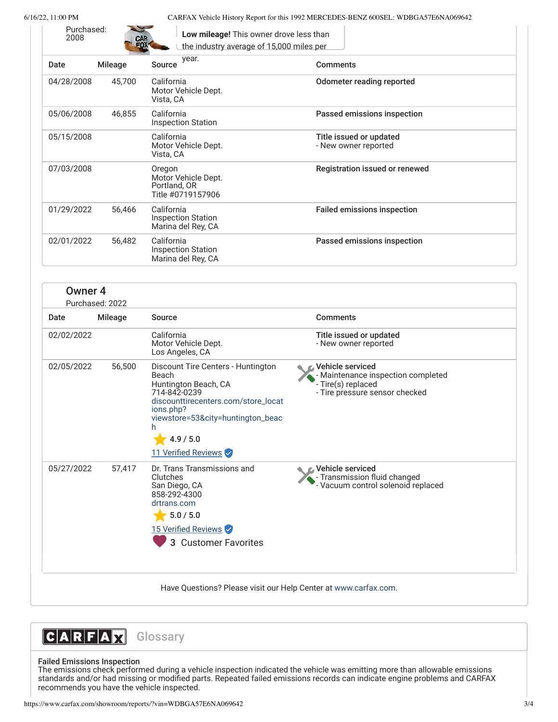Purchased:<br>2008

6/16/22, 11:00 PM CARFAX Vehicle History Report for this 1992 MERCEDES-BENZ 600SEL: WDBGA57E6NA069642

| <b>CAR</b><br>EOX |
|-------------------|

| Date       | <b>Mileage</b> | year.<br>Source                                                    | <b>Comments</b>                                 |
|------------|----------------|--------------------------------------------------------------------|-------------------------------------------------|
| 04/28/2008 | 45,700         | California<br>Motor Vehicle Dept.<br>Vista, CA                     | Odometer reading reported                       |
| 05/06/2008 | 46,855         | California<br><b>Inspection Station</b>                            | Passed emissions inspection                     |
| 05/15/2008 |                | California<br>Motor Vehicle Dept.<br>Vista, CA                     | Title issued or updated<br>- New owner reported |
| 07/03/2008 |                | Oregon<br>Motor Vehicle Dept.<br>Portland, OR<br>Title #0719157906 | Registration issued or renewed                  |
| 01/29/2022 | 56,466         | California<br><b>Inspection Station</b><br>Marina del Rey, CA      | <b>Failed emissions inspection</b>              |
| 02/01/2022 | 56,482         | California<br><b>Inspection Station</b><br>Marina del Rey, CA      | Passed emissions inspection                     |

**Low mileage!** This owner drove less than

| Owner <sub>4</sub> | Purchased: 2022 |                                                                                                                                                                                                                       |                                                                                                                |
|--------------------|-----------------|-----------------------------------------------------------------------------------------------------------------------------------------------------------------------------------------------------------------------|----------------------------------------------------------------------------------------------------------------|
| Date               | <b>Mileage</b>  | Source                                                                                                                                                                                                                | Comments                                                                                                       |
| 02/02/2022         |                 | California<br>Motor Vehicle Dept.<br>Los Angeles, CA                                                                                                                                                                  | Title issued or updated<br>- New owner reported                                                                |
| 02/05/2022         | 56,500          | Discount Tire Centers - Huntington<br>Beach<br>Huntington Beach, CA<br>714-842-0239<br>discounttirecenters.com/store_locat<br>ions.php?<br>viewstore=53&city=huntington_beac<br>h<br>4.9 / 5.0<br>11 Verified Reviews | Vehicle serviced<br>- Maintenance inspection completed<br>- Tire(s) replaced<br>- Tire pressure sensor checked |
| 05/27/2022         | 57,417          | Dr. Trans Transmissions and<br>Clutches<br>San Diego, CA<br>858-292-4300<br>drtrans.com<br>5.0 / 5.0<br>15 Verified Reviews<br><b>Customer Favorites</b><br>3                                                         | Vehicle serviced<br>- Transmission fluid changed<br>- Vacuum control solenoid replaced                         |
|                    |                 | Have Questions? Please visit our Help Center at www.carfax.com.                                                                                                                                                       |                                                                                                                |



# Failed Emissions Inspection

The emissions check performed during a vehicle inspection indicated the vehicle was emitting more than allowable emissions standards and/or had missing or modified parts. Repeated failed emissions records can indicate engine problems and CARFAX recommends you have the vehicle inspected.